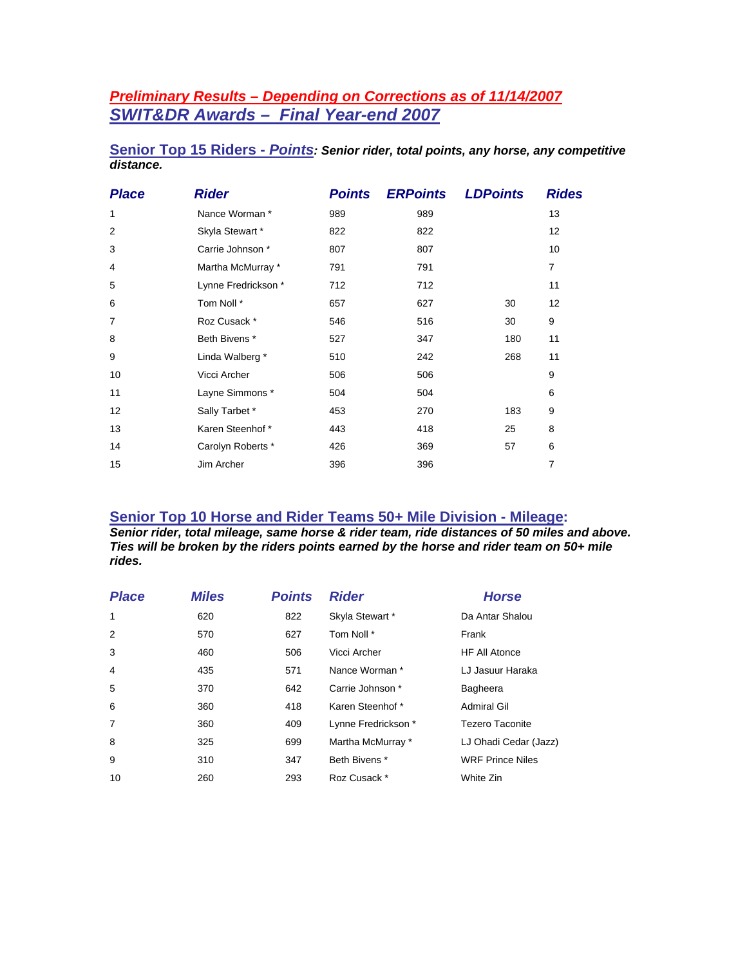# *Preliminary Results – Depending on Corrections as of 11/14/2007 SWIT&DR Awards – Final Year-end 2007*

|           |  |  |  | Senior Top 15 Riders - Points: Senior rider, total points, any horse, any competitive |  |
|-----------|--|--|--|---------------------------------------------------------------------------------------|--|
| distance. |  |  |  |                                                                                       |  |

| <b>Place</b>   | <b>Rider</b>        | <b>Points</b> | <b>ERPoints</b> | <b>LDPoints</b> |     | <b>Rides</b> |
|----------------|---------------------|---------------|-----------------|-----------------|-----|--------------|
| 1              | Nance Worman *      | 989           | 989             |                 |     | 13           |
| 2              | Skyla Stewart *     | 822           | 822             |                 |     | 12           |
| 3              | Carrie Johnson *    | 807           | 807             |                 |     | 10           |
| 4              | Martha McMurray *   | 791           | 791             |                 |     | 7            |
| 5              | Lynne Fredrickson * | 712           | 712             |                 |     | 11           |
| 6              | Tom Noll *          | 657           | 627             |                 | 30  | 12           |
| $\overline{7}$ | Roz Cusack *        | 546           | 516             |                 | 30  | 9            |
| 8              | Beth Bivens *       | 527           | 347             |                 | 180 | 11           |
| 9              | Linda Walberg *     | 510           | 242             |                 | 268 | 11           |
| 10             | Vicci Archer        | 506           | 506             |                 |     | 9            |
| 11             | Layne Simmons *     | 504           | 504             |                 |     | 6            |
| 12             | Sally Tarbet *      | 453           | 270             |                 | 183 | 9            |
| 13             | Karen Steenhof*     | 443           | 418             |                 | 25  | 8            |
| 14             | Carolyn Roberts *   | 426           | 369             |                 | 57  | 6            |
| 15             | Jim Archer          | 396           | 396             |                 |     | 7            |

# **Senior Top 10 Horse and Rider Teams 50+ Mile Division - Mileage:**

*Senior rider, total mileage, same horse & rider team, ride distances of 50 miles and above. Ties will be broken by the riders points earned by the horse and rider team on 50+ mile rides.* 

| <b>Place</b>   | <b>Miles</b> | <b>Points</b> | <b>Rider</b>        | <b>Horse</b>            |
|----------------|--------------|---------------|---------------------|-------------------------|
| $\mathbf{1}$   | 620          | 822           | Skyla Stewart *     | Da Antar Shalou         |
| 2              | 570          | 627           | Tom Noll *          | Frank                   |
| 3              | 460          | 506           | Vicci Archer        | <b>HF All Atonce</b>    |
| $\overline{4}$ | 435          | 571           | Nance Worman *      | LJ Jasuur Haraka        |
| 5              | 370          | 642           | Carrie Johnson *    | Bagheera                |
| 6              | 360          | 418           | Karen Steenhof*     | Admiral Gil             |
| $\overline{7}$ | 360          | 409           | Lynne Fredrickson * | <b>Tezero Taconite</b>  |
| 8              | 325          | 699           | Martha McMurray *   | LJ Ohadi Cedar (Jazz)   |
| 9              | 310          | 347           | Beth Bivens *       | <b>WRF Prince Niles</b> |
| 10             | 260          | 293           | Roz Cusack *        | White Zin               |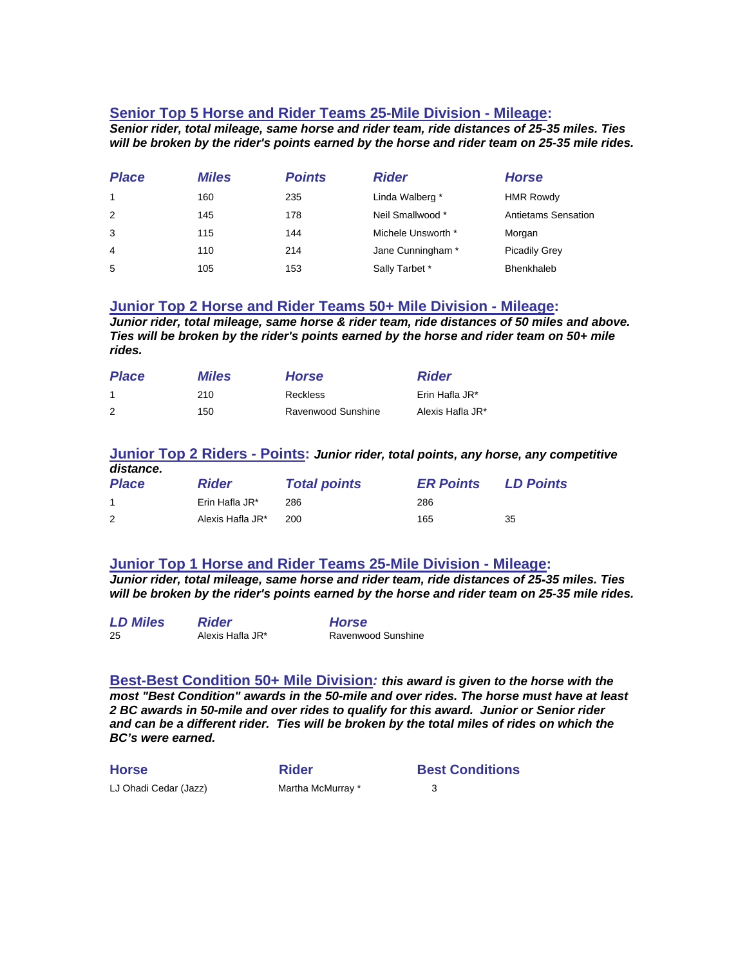## **Senior Top 5 Horse and Rider Teams 25-Mile Division - Mileage:**

*Senior rider, total mileage, same horse and rider team, ride distances of 25-35 miles. Ties will be broken by the rider's points earned by the horse and rider team on 25-35 mile rides.* 

| <b>Place</b> | <b>Miles</b> | <b>Points</b> | <b>Rider</b>       | <b>Horse</b>               |
|--------------|--------------|---------------|--------------------|----------------------------|
| $\mathbf{1}$ | 160          | 235           | Linda Walberg *    | <b>HMR Rowdy</b>           |
| 2            | 145          | 178           | Neil Smallwood *   | <b>Antietams Sensation</b> |
| 3            | 115          | 144           | Michele Unsworth * | Morgan                     |
| 4            | 110          | 214           | Jane Cunningham *  | <b>Picadily Grey</b>       |
| 5            | 105          | 153           | Sally Tarbet *     | Bhenkhaleb                 |

### **Junior Top 2 Horse and Rider Teams 50+ Mile Division - Mileage:**

*Junior rider, total mileage, same horse & rider team, ride distances of 50 miles and above. Ties will be broken by the rider's points earned by the horse and rider team on 50+ mile rides.* 

| <b>Place</b> | <b>Miles</b> | <b>Horse</b>       | <b>Rider</b>     |
|--------------|--------------|--------------------|------------------|
|              | 210          | <b>Reckless</b>    | Erin Hafla JR*   |
|              | 150          | Ravenwood Sunshine | Alexis Hafla JR* |

#### **Junior Top 2 Riders - Points:** *Junior rider, total points, any horse, any competitive distance.*

| <b>Place</b> | <b>Rider</b>     | <b>Total points</b> | <b>ER Points</b> | <b>LD Points</b> |
|--------------|------------------|---------------------|------------------|------------------|
|              | Erin Hafla JR*   | 286                 | 286              |                  |
|              | Alexis Hafla JR* | 200                 | 165              | 35               |

### **Junior Top 1 Horse and Rider Teams 25-Mile Division - Mileage:**

*Junior rider, total mileage, same horse and rider team, ride distances of 25-35 miles. Ties will be broken by the rider's points earned by the horse and rider team on 25-35 mile rides.* 

| <b>LD Miles</b> | <b>Rider</b>     | <b>Horse</b>       |
|-----------------|------------------|--------------------|
| 25              | Alexis Hafla JR* | Ravenwood Sunshine |

**Best-Best Condition 50+ Mile Division***: this award is given to the horse with the most "Best Condition" awards in the 50-mile and over rides. The horse must have at least 2 BC awards in 50-mile and over rides to qualify for this award. Junior or Senior rider and can be a different rider. Ties will be broken by the total miles of rides on which the BC's were earned.* 

| <b>Horse</b>          | <b>Rider</b>      | <b>Best Conditions</b> |
|-----------------------|-------------------|------------------------|
| LJ Ohadi Cedar (Jazz) | Martha McMurray * |                        |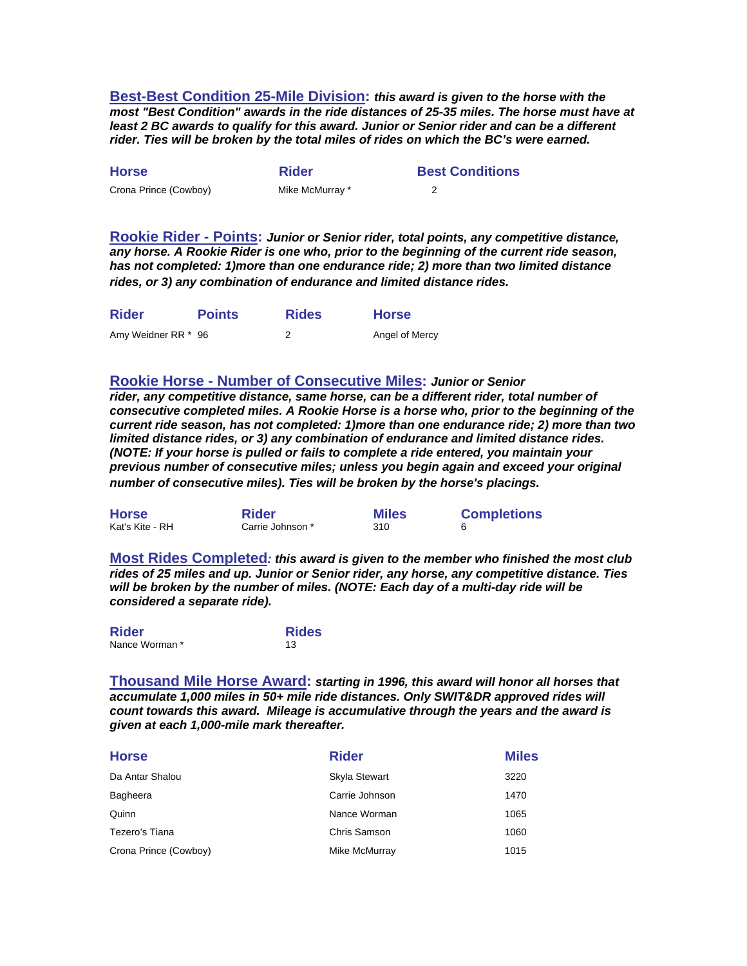**Best-Best Condition 25-Mile Division:** *this award is given to the horse with the most "Best Condition" awards in the ride distances of 25-35 miles. The horse must have at least 2 BC awards to qualify for this award. Junior or Senior rider and can be a different rider. Ties will be broken by the total miles of rides on which the BC's were earned.* 

| <b>Horse</b>          | <b>Rider</b>    | <b>Best Conditions</b> |
|-----------------------|-----------------|------------------------|
| Crona Prince (Cowboy) | Mike McMurray * |                        |

**Rookie Rider - Points:** *Junior or Senior rider, total points, any competitive distance, any horse. A Rookie Rider is one who, prior to the beginning of the current ride season, has not completed: 1)more than one endurance ride; 2) more than two limited distance rides, or 3) any combination of endurance and limited distance rides.* 

| <b>Rider</b>        | <b>Points</b> | <b>Rides</b> | <b>Horse</b>   |
|---------------------|---------------|--------------|----------------|
| Amy Weidner RR * 96 |               |              | Angel of Mercy |

### **Rookie Horse - Number of Consecutive Miles:** *Junior or Senior*

*rider, any competitive distance, same horse, can be a different rider, total number of consecutive completed miles. A Rookie Horse is a horse who, prior to the beginning of the current ride season, has not completed: 1)more than one endurance ride; 2) more than two limited distance rides, or 3) any combination of endurance and limited distance rides. (NOTE: If your horse is pulled or fails to complete a ride entered, you maintain your previous number of consecutive miles; unless you begin again and exceed your original number of consecutive miles). Ties will be broken by the horse's placings.*

| <b>Horse</b>    | <b>Rider</b>     | <b>Miles</b> | <b>Completions</b> |
|-----------------|------------------|--------------|--------------------|
| Kat's Kite - RH | Carrie Johnson * | 310          |                    |

**Most Rides Completed***: this award is given to the member who finished the most club rides of 25 miles and up. Junior or Senior rider, any horse, any competitive distance. Ties will be broken by the number of miles. (NOTE: Each day of a multi-day ride will be considered a separate ride).*

| <b>Rider</b>   | <b>Rides</b> |
|----------------|--------------|
| Nance Worman * | 13           |

**Thousand Mile Horse Award:** *starting in 1996, this award will honor all horses that accumulate 1,000 miles in 50+ mile ride distances. Only SWIT&DR approved rides will count towards this award. Mileage is accumulative through the years and the award is given at each 1,000-mile mark thereafter.* 

| <b>Horse</b>          | <b>Rider</b>   | <b>Miles</b> |
|-----------------------|----------------|--------------|
| Da Antar Shalou       | Skyla Stewart  | 3220         |
| Bagheera              | Carrie Johnson | 1470         |
| Quinn                 | Nance Worman   | 1065         |
| Tezero's Tiana        | Chris Samson   | 1060         |
| Crona Prince (Cowboy) | Mike McMurray  | 1015         |